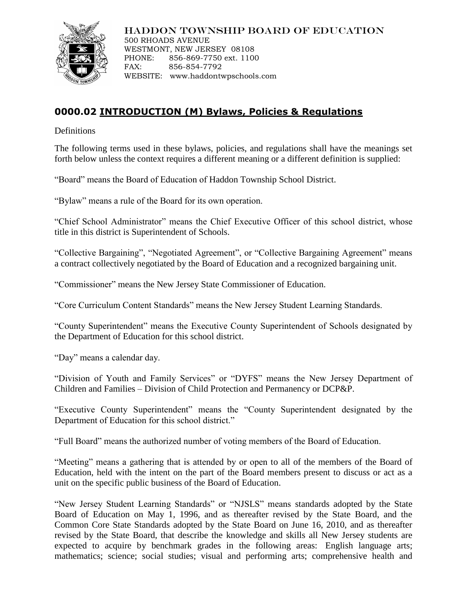

### HADDON TOWNSHIP BOARD OF EDUCATION

500 RHOADS AVENUE WESTMONT, NEW JERSEY 08108 PHONE: 856-869-7750 ext. 1100 FAX: 856-854-7792 WEBSITE: www.haddontwpschools.com

# **0000.02 INTRODUCTION (M) Bylaws, Policies & Regulations**

**Definitions** 

The following terms used in these bylaws, policies, and regulations shall have the meanings set forth below unless the context requires a different meaning or a different definition is supplied:

"Board" means the Board of Education of Haddon Township School District.

"Bylaw" means a rule of the Board for its own operation.

"Chief School Administrator" means the Chief Executive Officer of this school district, whose title in this district is Superintendent of Schools.

"Collective Bargaining", "Negotiated Agreement", or "Collective Bargaining Agreement" means a contract collectively negotiated by the Board of Education and a recognized bargaining unit.

"Commissioner" means the New Jersey State Commissioner of Education.

"Core Curriculum Content Standards" means the New Jersey Student Learning Standards.

"County Superintendent" means the Executive County Superintendent of Schools designated by the Department of Education for this school district.

"Day" means a calendar day.

"Division of Youth and Family Services" or "DYFS" means the New Jersey Department of Children and Families – Division of Child Protection and Permanency or DCP&P.

"Executive County Superintendent" means the "County Superintendent designated by the Department of Education for this school district."

"Full Board" means the authorized number of voting members of the Board of Education.

"Meeting" means a gathering that is attended by or open to all of the members of the Board of Education, held with the intent on the part of the Board members present to discuss or act as a unit on the specific public business of the Board of Education.

"New Jersey Student Learning Standards" or "NJSLS" means standards adopted by the State Board of Education on May 1, 1996, and as thereafter revised by the State Board, and the Common Core State Standards adopted by the State Board on June 16, 2010, and as thereafter revised by the State Board, that describe the knowledge and skills all New Jersey students are expected to acquire by benchmark grades in the following areas: English language arts; mathematics; science; social studies; visual and performing arts; comprehensive health and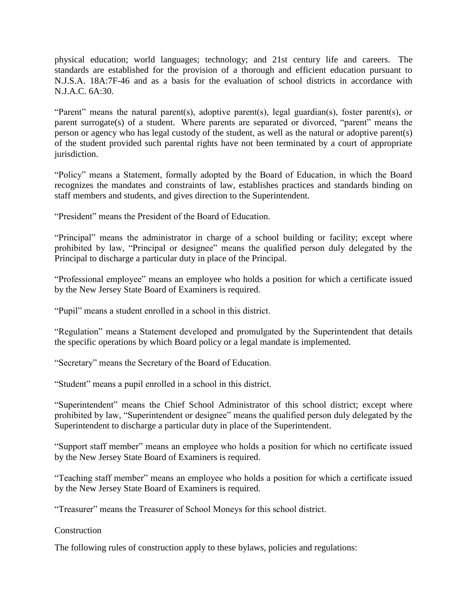physical education; world languages; technology; and 21st century life and careers. The standards are established for the provision of a thorough and efficient education pursuant to N.J.S.A. 18A:7F-46 and as a basis for the evaluation of school districts in accordance with N.J.A.C. 6A:30.

"Parent" means the natural parent(s), adoptive parent(s), legal guardian(s), foster parent(s), or parent surrogate(s) of a student. Where parents are separated or divorced, "parent" means the person or agency who has legal custody of the student, as well as the natural or adoptive parent(s) of the student provided such parental rights have not been terminated by a court of appropriate jurisdiction.

"Policy" means a Statement, formally adopted by the Board of Education, in which the Board recognizes the mandates and constraints of law, establishes practices and standards binding on staff members and students, and gives direction to the Superintendent.

"President" means the President of the Board of Education.

"Principal" means the administrator in charge of a school building or facility; except where prohibited by law, "Principal or designee" means the qualified person duly delegated by the Principal to discharge a particular duty in place of the Principal.

"Professional employee" means an employee who holds a position for which a certificate issued by the New Jersey State Board of Examiners is required.

"Pupil" means a student enrolled in a school in this district.

"Regulation" means a Statement developed and promulgated by the Superintendent that details the specific operations by which Board policy or a legal mandate is implemented.

"Secretary" means the Secretary of the Board of Education.

"Student" means a pupil enrolled in a school in this district.

"Superintendent" means the Chief School Administrator of this school district; except where prohibited by law, "Superintendent or designee" means the qualified person duly delegated by the Superintendent to discharge a particular duty in place of the Superintendent.

"Support staff member" means an employee who holds a position for which no certificate issued by the New Jersey State Board of Examiners is required.

"Teaching staff member" means an employee who holds a position for which a certificate issued by the New Jersey State Board of Examiners is required.

"Treasurer" means the Treasurer of School Moneys for this school district.

**Construction** 

The following rules of construction apply to these bylaws, policies and regulations: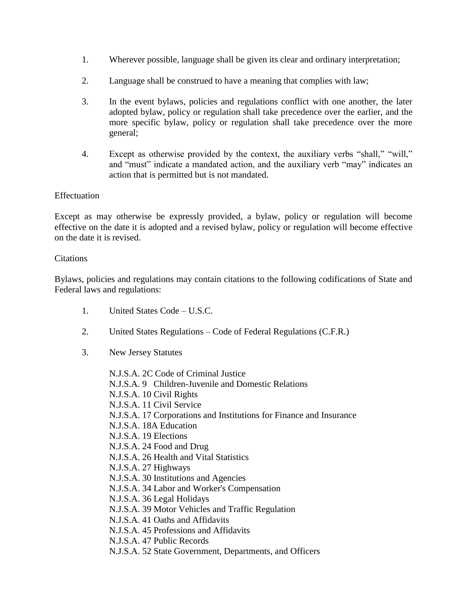- 1. Wherever possible, language shall be given its clear and ordinary interpretation;
- 2. Language shall be construed to have a meaning that complies with law;
- 3. In the event bylaws, policies and regulations conflict with one another, the later adopted bylaw, policy or regulation shall take precedence over the earlier, and the more specific bylaw, policy or regulation shall take precedence over the more general;
- 4. Except as otherwise provided by the context, the auxiliary verbs "shall," "will," and "must" indicate a mandated action, and the auxiliary verb "may" indicates an action that is permitted but is not mandated.

## Effectuation

Except as may otherwise be expressly provided, a bylaw, policy or regulation will become effective on the date it is adopted and a revised bylaw, policy or regulation will become effective on the date it is revised.

### **Citations**

Bylaws, policies and regulations may contain citations to the following codifications of State and Federal laws and regulations:

- 1. United States Code U.S.C.
- 2. United States Regulations Code of Federal Regulations (C.F.R.)
- 3. New Jersey Statutes
	- N.J.S.A. 2C Code of Criminal Justice N.J.S.A. 9 Children-Juvenile and Domestic Relations N.J.S.A. 10 Civil Rights N.J.S.A. 11 Civil Service N.J.S.A. 17 Corporations and Institutions for Finance and Insurance N.J.S.A. 18A Education N.J.S.A. 19 Elections N.J.S.A. 24 Food and Drug N.J.S.A. 26 Health and Vital Statistics N.J.S.A. 27 Highways N.J.S.A. 30 Institutions and Agencies N.J.S.A. 34 Labor and Worker's Compensation N.J.S.A. 36 Legal Holidays N.J.S.A. 39 Motor Vehicles and Traffic Regulation N.J.S.A. 41 Oaths and Affidavits N.J.S.A. 45 Professions and Affidavits N.J.S.A. 47 Public Records N.J.S.A. 52 State Government, Departments, and Officers